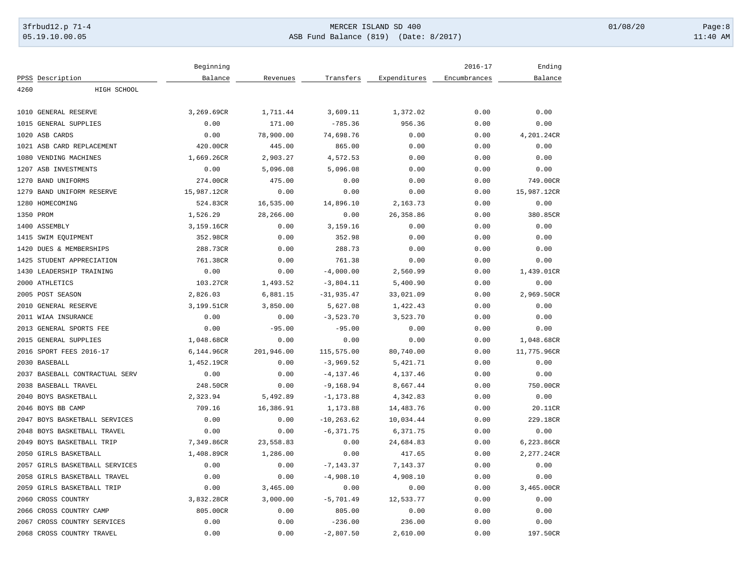# 3frbud12.p 71-4 **Details and the CER ISLAND SD 400** MERCER ISLAND SD 400 01/08/20 Page:8 05.19.10.00.05 ASB Fund Balance (819) (Date: 8/2017) 11:40 AM

|      |                                | Beginning   |            |               |              | $2016 - 17$  | Ending      |
|------|--------------------------------|-------------|------------|---------------|--------------|--------------|-------------|
|      | PPSS Description               | Balance     | Revenues   | Transfers     | Expenditures | Encumbrances | Balance     |
| 4260 | HIGH SCHOOL                    |             |            |               |              |              |             |
|      |                                |             |            |               |              |              |             |
|      | 1010 GENERAL RESERVE           | 3,269.69CR  | 1,711.44   | 3,609.11      | 1,372.02     | 0.00         | 0.00        |
| 1015 | GENERAL SUPPLIES               | 0.00        | 171.00     | $-785.36$     | 956.36       | 0.00         | 0.00        |
|      | 1020 ASB CARDS                 | 0.00        | 78,900.00  | 74,698.76     | 0.00         | 0.00         | 4,201.24CR  |
|      | 1021 ASB CARD REPLACEMENT      | 420.00CR    | 445.00     | 865.00        | 0.00         | 0.00         | 0.00        |
|      | 1080 VENDING MACHINES          | 1,669.26CR  | 2,903.27   | 4,572.53      | 0.00         | 0.00         | 0.00        |
|      | 1207 ASB INVESTMENTS           | 0.00        | 5,096.08   | 5,096.08      | 0.00         | 0.00         | 0.00        |
|      | 1270 BAND UNIFORMS             | 274.00CR    | 475.00     | 0.00          | 0.00         | 0.00         | 749.00CR    |
|      | 1279 BAND UNIFORM RESERVE      | 15,987.12CR | 0.00       | 0.00          | 0.00         | 0.00         | 15,987.12CR |
|      | 1280 HOMECOMING                | 524.83CR    | 16,535.00  | 14,896.10     | 2,163.73     | 0.00         | 0.00        |
|      | 1350 PROM                      | 1,526.29    | 28,266.00  | 0.00          | 26, 358.86   | 0.00         | 380.85CR    |
|      | 1400 ASSEMBLY                  | 3,159.16CR  | 0.00       | 3,159.16      | 0.00         | 0.00         | 0.00        |
|      | 1415 SWIM EQUIPMENT            | 352.98CR    | 0.00       | 352.98        | 0.00         | 0.00         | 0.00        |
| 1420 | DUES & MEMBERSHIPS             | 288.73CR    | 0.00       | 288.73        | 0.00         | 0.00         | 0.00        |
|      | 1425 STUDENT APPRECIATION      | 761.38CR    | 0.00       | 761.38        | 0.00         | 0.00         | 0.00        |
|      | 1430 LEADERSHIP TRAINING       | 0.00        | 0.00       | $-4,000.00$   | 2,560.99     | 0.00         | 1,439.01CR  |
|      | 2000 ATHLETICS                 | 103.27CR    | 1,493.52   | $-3,804.11$   | 5,400.90     | 0.00         | 0.00        |
|      | 2005 POST SEASON               | 2,826.03    | 6,881.15   | $-31, 935.47$ | 33,021.09    | 0.00         | 2,969.50CR  |
|      | 2010 GENERAL RESERVE           | 3,199.51CR  | 3,850.00   | 5,627.08      | 1,422.43     | 0.00         | 0.00        |
|      | 2011 WIAA INSURANCE            | 0.00        | 0.00       | $-3,523.70$   | 3,523.70     | 0.00         | 0.00        |
| 2013 | GENERAL SPORTS FEE             | 0.00        | $-95.00$   | $-95.00$      | 0.00         | 0.00         | 0.00        |
|      | 2015 GENERAL SUPPLIES          | 1,048.68CR  | 0.00       | 0.00          | 0.00         | 0.00         | 1,048.68CR  |
|      | 2016 SPORT FEES 2016-17        | 6,144.96CR  | 201,946.00 | 115,575.00    | 80,740.00    | 0.00         | 11,775.96CR |
|      | 2030 BASEBALL                  | 1,452.19CR  | 0.00       | $-3,969.52$   | 5,421.71     | 0.00         | 0.00        |
|      | 2037 BASEBALL CONTRACTUAL SERV | 0.00        | 0.00       | $-4, 137.46$  | 4,137.46     | 0.00         | 0.00        |
|      | 2038 BASEBALL TRAVEL           | 248.50CR    | 0.00       | $-9, 168.94$  | 8,667.44     | 0.00         | 750.00CR    |
|      | 2040 BOYS BASKETBALL           | 2,323.94    | 5,492.89   | $-1, 173.88$  | 4,342.83     | 0.00         | 0.00        |
|      | 2046 BOYS BB CAMP              | 709.16      | 16,386.91  | 1,173.88      | 14,483.76    | 0.00         | 20.11CR     |
| 2047 | BOYS BASKETBALL SERVICES       | 0.00        | 0.00       | $-10, 263.62$ | 10,034.44    | 0.00         | 229.18CR    |
| 2048 | BOYS BASKETBALL TRAVEL         | 0.00        | 0.00       | $-6, 371.75$  | 6,371.75     | 0.00         | 0.00        |
|      | 2049 BOYS BASKETBALL TRIP      | 7,349.86CR  | 23,558.83  | 0.00          | 24,684.83    | 0.00         | 6,223.86CR  |
|      | 2050 GIRLS BASKETBALL          | 1,408.89CR  | 1,286.00   | 0.00          | 417.65       | 0.00         | 2,277.24CR  |
|      | 2057 GIRLS BASKETBALL SERVICES | 0.00        | 0.00       | $-7, 143.37$  | 7,143.37     | 0.00         | 0.00        |
|      | 2058 GIRLS BASKETBALL TRAVEL   | 0.00        | 0.00       | $-4,908.10$   | 4,908.10     | 0.00         | 0.00        |
|      | 2059 GIRLS BASKETBALL TRIP     | 0.00        | 3,465.00   | 0.00          | 0.00         | 0.00         | 3,465.00CR  |
|      | 2060 CROSS COUNTRY             | 3,832.28CR  | 3,000.00   | $-5,701.49$   | 12,533.77    | 0.00         | 0.00        |
|      | 2066 CROSS COUNTRY CAMP        | 805.00CR    | 0.00       | 805.00        | 0.00         | 0.00         | 0.00        |
|      | 2067 CROSS COUNTRY SERVICES    | 0.00        | 0.00       | $-236.00$     | 236.00       | 0.00         | 0.00        |
|      | 2068 CROSS COUNTRY TRAVEL      | 0.00        | 0.00       | $-2,807.50$   | 2,610.00     | 0.00         | 197.50CR    |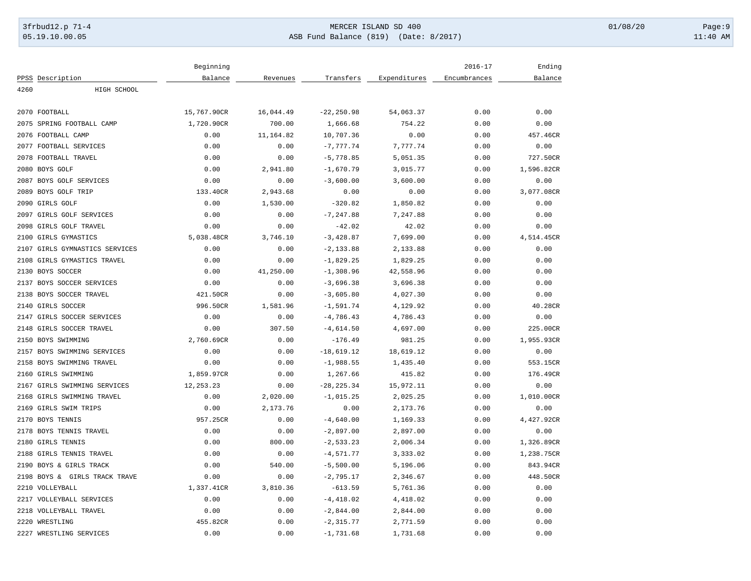# 3frbud12.p 71-4 **Details and the CER ISLAND SD 400** MERCER ISLAND SD 400 01/08/20 Page:9 05.19.10.00.05 ASB Fund Balance (819) (Date: 8/2017) 11:40 AM

|      |                                | Beginning   |           |               |              | $2016 - 17$  | Ending     |
|------|--------------------------------|-------------|-----------|---------------|--------------|--------------|------------|
|      | PPSS Description               | Balance     | Revenues  | Transfers     | Expenditures | Encumbrances | Balance    |
| 4260 | HIGH SCHOOL                    |             |           |               |              |              |            |
|      | 2070 FOOTBALL                  | 15,767.90CR | 16,044.49 | $-22, 250.98$ | 54,063.37    | 0.00         | 0.00       |
|      | 2075 SPRING FOOTBALL CAMP      | 1,720.90CR  | 700.00    | 1,666.68      | 754.22       | 0.00         | 0.00       |
|      | 2076 FOOTBALL CAMP             | 0.00        | 11,164.82 | 10,707.36     | 0.00         | 0.00         | 457.46CR   |
|      |                                |             |           | $-7,777.74$   | 7,777.74     |              | 0.00       |
|      | 2077 FOOTBALL SERVICES         | 0.00        | 0.00      |               |              | 0.00         |            |
|      | 2078 FOOTBALL TRAVEL           | 0.00        | 0.00      | $-5,778.85$   | 5,051.35     | 0.00         | 727.50CR   |
|      | 2080 BOYS GOLF                 | 0.00        | 2,941.80  | $-1,670.79$   | 3,015.77     | 0.00         | 1,596.82CR |
|      | 2087 BOYS GOLF SERVICES        | 0.00        | 0.00      | $-3,600.00$   | 3,600.00     | 0.00         | 0.00       |
|      | 2089 BOYS GOLF TRIP            | 133.40CR    | 2,943.68  | 0.00          | 0.00         | 0.00         | 3,077.08CR |
|      | 2090 GIRLS GOLF                | 0.00        | 1,530.00  | $-320.82$     | 1,850.82     | 0.00         | 0.00       |
|      | 2097 GIRLS GOLF SERVICES       | 0.00        | 0.00      | $-7, 247.88$  | 7,247.88     | 0.00         | 0.00       |
|      | 2098 GIRLS GOLF TRAVEL         | 0.00        | 0.00      | $-42.02$      | 42.02        | 0.00         | 0.00       |
|      | 2100 GIRLS GYMASTICS           | 5,038.48CR  | 3,746.10  | $-3,428.87$   | 7,699.00     | 0.00         | 4,514.45CR |
|      | 2107 GIRLS GYMNASTICS SERVICES | 0.00        | 0.00      | $-2, 133.88$  | 2,133.88     | 0.00         | 0.00       |
|      | 2108 GIRLS GYMASTICS TRAVEL    | 0.00        | 0.00      | $-1,829.25$   | 1,829.25     | 0.00         | 0.00       |
|      | 2130 BOYS SOCCER               | 0.00        | 41,250.00 | $-1,308.96$   | 42,558.96    | 0.00         | 0.00       |
|      | 2137 BOYS SOCCER SERVICES      | 0.00        | 0.00      | $-3,696.38$   | 3,696.38     | 0.00         | 0.00       |
|      | 2138 BOYS SOCCER TRAVEL        | 421.50CR    | 0.00      | $-3,605.80$   | 4,027.30     | 0.00         | 0.00       |
|      | 2140 GIRLS SOCCER              | 996.50CR    | 1,581.96  | $-1,591.74$   | 4,129.92     | 0.00         | 40.28CR    |
|      | 2147 GIRLS SOCCER SERVICES     | 0.00        | 0.00      | $-4,786.43$   | 4,786.43     | 0.00         | 0.00       |
| 2148 | GIRLS SOCCER TRAVEL            | 0.00        | 307.50    | $-4,614.50$   | 4,697.00     | 0.00         | 225.00CR   |
|      | 2150 BOYS SWIMMING             | 2,760.69CR  | 0.00      | $-176.49$     | 981.25       | 0.00         | 1,955.93CR |
|      | 2157 BOYS SWIMMING SERVICES    | 0.00        | 0.00      | $-18,619.12$  | 18,619.12    | 0.00         | 0.00       |
|      | 2158 BOYS SWIMMING TRAVEL      | 0.00        | 0.00      | $-1,988.55$   | 1,435.40     | 0.00         | 553.15CR   |
|      | 2160 GIRLS SWIMMING            | 1,859.97CR  | 0.00      | 1,267.66      | 415.82       | 0.00         | 176.49CR   |
|      | 2167 GIRLS SWIMMING SERVICES   | 12, 253. 23 | 0.00      | $-28, 225.34$ | 15,972.11    | 0.00         | 0.00       |
|      | 2168 GIRLS SWIMMING TRAVEL     | 0.00        | 2,020.00  | $-1,015.25$   | 2,025.25     | 0.00         | 1,010.00CR |
|      | 2169 GIRLS SWIM TRIPS          | 0.00        | 2,173.76  | 0.00          | 2,173.76     | 0.00         | 0.00       |
|      | 2170 BOYS TENNIS               | 957.25CR    | 0.00      | $-4,640.00$   | 1,169.33     | 0.00         | 4,427.92CR |
|      | 2178 BOYS TENNIS TRAVEL        | 0.00        | 0.00      | $-2,897.00$   | 2,897.00     | 0.00         | 0.00       |
|      | 2180 GIRLS TENNIS              | 0.00        | 800.00    | $-2, 533.23$  | 2,006.34     | 0.00         | 1,326.89CR |
|      | 2188 GIRLS TENNIS TRAVEL       | 0.00        | 0.00      | $-4,571.77$   | 3,333.02     | 0.00         | 1,238.75CR |
|      | 2190 BOYS & GIRLS TRACK        | 0.00        | 540.00    | $-5,500.00$   | 5,196.06     | 0.00         | 843.94CR   |
|      | 2198 BOYS & GIRLS TRACK TRAVE  | 0.00        | 0.00      | $-2,795.17$   | 2,346.67     | 0.00         | 448.50CR   |
|      | 2210 VOLLEYBALL                | 1,337.41CR  | 3,810.36  | $-613.59$     | 5,761.36     | 0.00         | 0.00       |
|      | 2217 VOLLEYBALL SERVICES       | 0.00        | 0.00      | $-4,418.02$   | 4,418.02     | 0.00         | 0.00       |
|      | 2218 VOLLEYBALL TRAVEL         | 0.00        | 0.00      | $-2,844.00$   | 2,844.00     | 0.00         | 0.00       |
|      | 2220 WRESTLING                 | 455.82CR    | 0.00      | $-2, 315.77$  | 2,771.59     | 0.00         | 0.00       |
|      | 2227 WRESTLING SERVICES        | 0.00        | 0.00      | $-1,731.68$   | 1,731.68     | 0.00         | 0.00       |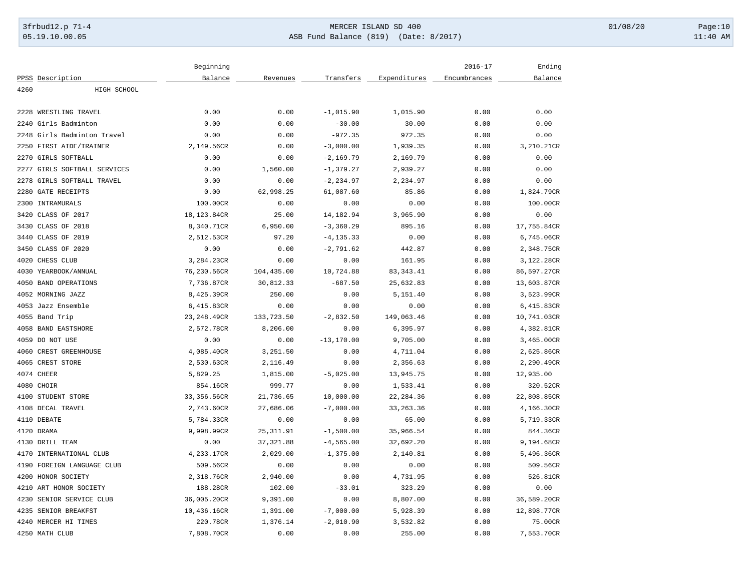# 3frbud12.p 71-4 **Details and the CER ISLAND SD 400** MERCER ISLAND SD 400 01/08/20 Page:10 05.19.10.00.05 ASB Fund Balance (819) (Date: 8/2017) 11:40 AM

|      |                              | Beginning    |            |               |              | $2016 - 17$  | Ending      |
|------|------------------------------|--------------|------------|---------------|--------------|--------------|-------------|
|      | PPSS Description             | Balance      | Revenues   | Transfers     | Expenditures | Encumbrances | Balance     |
| 4260 | HIGH SCHOOL                  |              |            |               |              |              |             |
|      |                              |              |            |               |              |              |             |
|      | 2228 WRESTLING TRAVEL        | 0.00         | 0.00       | $-1,015.90$   | 1,015.90     | 0.00         | 0.00        |
|      | 2240 Girls Badminton         | 0.00         | 0.00       | $-30.00$      | 30.00        | 0.00         | 0.00        |
| 2248 | Girls Badminton Travel       | 0.00         | 0.00       | $-972.35$     | 972.35       | 0.00         | 0.00        |
|      | 2250 FIRST AIDE/TRAINER      | 2,149.56CR   | 0.00       | $-3,000.00$   | 1,939.35     | 0.00         | 3,210.21CR  |
|      | 2270 GIRLS SOFTBALL          | 0.00         | 0.00       | $-2,169.79$   | 2,169.79     | 0.00         | 0.00        |
|      | 2277 GIRLS SOFTBALL SERVICES | 0.00         | 1,560.00   | $-1, 379.27$  | 2,939.27     | 0.00         | 0.00        |
|      | 2278 GIRLS SOFTBALL TRAVEL   | 0.00         | 0.00       | $-2, 234.97$  | 2,234.97     | 0.00         | 0.00        |
|      | 2280 GATE RECEIPTS           | 0.00         | 62,998.25  | 61,087.60     | 85.86        | 0.00         | 1,824.79CR  |
|      | 2300 INTRAMURALS             | 100.00CR     | 0.00       | 0.00          | 0.00         | 0.00         | 100.00CR    |
| 3420 | CLASS OF 2017                | 18,123.84CR  | 25.00      | 14,182.94     | 3,965.90     | 0.00         | 0.00        |
| 3430 | CLASS OF 2018                | 8,340.71CR   | 6,950.00   | $-3, 360.29$  | 895.16       | 0.00         | 17,755.84CR |
| 3440 | CLASS OF 2019                | 2,512.53CR   | 97.20      | $-4, 135.33$  | 0.00         | 0.00         | 6,745.06CR  |
|      | 3450 CLASS OF 2020           | 0.00         | 0.00       | $-2,791.62$   | 442.87       | 0.00         | 2,348.75CR  |
|      | 4020 CHESS CLUB              | 3,284.23CR   | 0.00       | 0.00          | 161.95       | 0.00         | 3,122.28CR  |
|      | 4030 YEARBOOK/ANNUAL         | 76,230.56CR  | 104,435.00 | 10,724.88     | 83, 343.41   | 0.00         | 86,597.27CR |
|      | 4050 BAND OPERATIONS         | 7,736.87CR   | 30,812.33  | $-687.50$     | 25,632.83    | 0.00         | 13,603.87CR |
|      | 4052 MORNING JAZZ            | 8,425.39CR   | 250.00     | 0.00          | 5,151.40     | 0.00         | 3,523.99CR  |
|      | 4053 Jazz Ensemble           | 6,415.83CR   | 0.00       | 0.00          | 0.00         | 0.00         | 6,415.83CR  |
|      | 4055 Band Trip               | 23, 248.49CR | 133,723.50 | $-2,832.50$   | 149,063.46   | 0.00         | 10,741.03CR |
|      | 4058 BAND EASTSHORE          | 2,572.78CR   | 8,206.00   | 0.00          | 6,395.97     | 0.00         | 4,382.81CR  |
|      | 4059 DO NOT USE              | 0.00         | 0.00       | $-13, 170.00$ | 9,705.00     | 0.00         | 3,465.00CR  |
|      | 4060 CREST GREENHOUSE        | 4,085.40CR   | 3,251.50   | 0.00          | 4,711.04     | 0.00         | 2,625.86CR  |
|      | 4065 CREST STORE             | 2,530.63CR   | 2,116.49   | 0.00          | 2,356.63     | 0.00         | 2,290.49CR  |
|      | 4074 CHEER                   | 5,829.25     | 1,815.00   | $-5,025.00$   | 13,945.75    | 0.00         | 12,935.00   |
|      | 4080 CHOIR                   | 854.16CR     | 999.77     | 0.00          | 1,533.41     | 0.00         | 320.52CR    |
|      | 4100 STUDENT STORE           | 33,356.56CR  | 21,736.65  | 10,000.00     | 22, 284.36   | 0.00         | 22,808.85CR |
|      | 4108 DECAL TRAVEL            | 2,743.60CR   | 27,686.06  | $-7,000.00$   | 33, 263. 36  | 0.00         | 4,166.30CR  |
|      | 4110 DEBATE                  | 5,784.33CR   | 0.00       | 0.00          | 65.00        | 0.00         | 5,719.33CR  |
|      | 4120 DRAMA                   | 9,998.99CR   | 25, 311.91 | $-1,500.00$   | 35,966.54    | 0.00         | 844.36CR    |
|      | 4130 DRILL TEAM              | 0.00         | 37, 321.88 | $-4,565.00$   | 32,692.20    | 0.00         | 9,194.68CR  |
| 4170 | INTERNATIONAL CLUB           | 4,233.17CR   | 2,029.00   | $-1,375.00$   | 2,140.81     | 0.00         | 5,496.36CR  |
|      | 4190 FOREIGN LANGUAGE CLUB   | 509.56CR     | 0.00       | 0.00          | 0.00         | 0.00         | 509.56CR    |
|      | 4200 HONOR SOCIETY           | 2,318.76CR   |            | 0.00          |              | 0.00         | 526.81CR    |
|      |                              |              | 2,940.00   |               | 4,731.95     |              |             |
|      | 4210 ART HONOR SOCIETY       | 188.28CR     | 102.00     | $-33.01$      | 323.29       | 0.00         | 0.00        |
|      | 4230 SENIOR SERVICE CLUB     | 36,005.20CR  | 9,391.00   | 0.00          | 8,807.00     | 0.00         | 36,589.20CR |
|      | 4235 SENIOR BREAKFST         | 10,436.16CR  | 1,391.00   | $-7,000.00$   | 5,928.39     | 0.00         | 12,898.77CR |
|      | 4240 MERCER HI TIMES         | 220.78CR     | 1,376.14   | $-2,010.90$   | 3,532.82     | 0.00         | 75.00CR     |
|      | 4250 MATH CLUB               | 7,808.70CR   | 0.00       | 0.00          | 255.00       | 0.00         | 7,553.70CR  |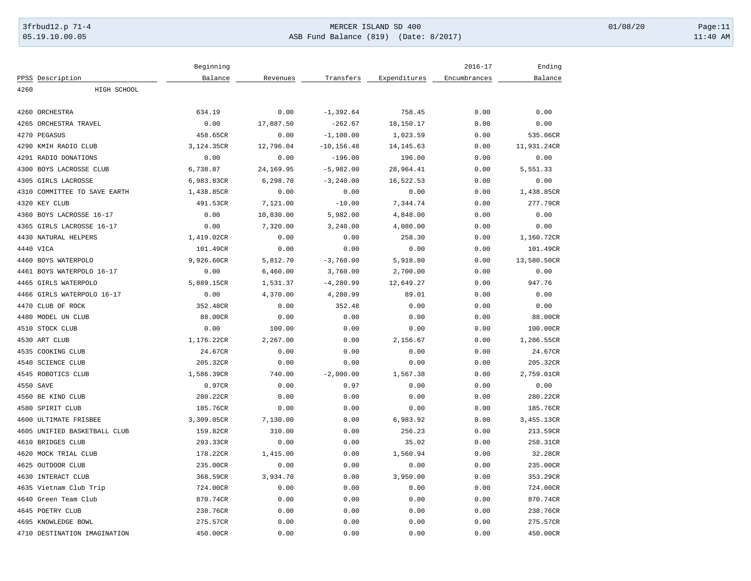# 3frbud12.p 71-4 **Details and the CER ISLAND SD 400** MERCER ISLAND SD 400 01/08/20 Page:11 05.19.10.00.05 ASB Fund Balance (819) (Date: 8/2017) 11:40 AM

|      |                              | Beginning  |           |               |              | $2016 - 17$  | Ending      |
|------|------------------------------|------------|-----------|---------------|--------------|--------------|-------------|
|      | PPSS Description             | Balance    | Revenues  | Transfers     | Expenditures | Encumbrances | Balance     |
| 4260 | HIGH SCHOOL                  |            |           |               |              |              |             |
|      | 4260 ORCHESTRA               | 634.19     | 0.00      | $-1, 392.64$  | 758.45       | 0.00         | 0.00        |
|      | 4265 ORCHESTRA TRAVEL        | 0.00       | 17,887.50 | $-262.67$     | 18,150.17    | 0.00         | 0.00        |
|      | 4270 PEGASUS                 | 458.65CR   | 0.00      | $-1,100.00$   | 1,023.59     | 0.00         | 535.06CR    |
|      | 4290 KMIH RADIO CLUB         | 3,124.35CR | 12,796.04 | $-10, 156.48$ | 14, 145.63   | 0.00         | 11,931.24CR |
|      | 4291 RADIO DONATIONS         | 0.00       | 0.00      | $-196.00$     | 196.00       | 0.00         | 0.00        |
|      | 4300 BOYS LACROSSE CLUB      | 6,738.87   | 24,169.95 | $-5,982.00$   | 28,964.41    | 0.00         | 5,551.33    |
|      | 4305 GIRLS LACROSSE          | 6,983.83CR | 6,298.70  | $-3, 240.00$  | 16,522.53    | 0.00         | 0.00        |
|      | 4310 COMMITTEE TO SAVE EARTH | 1,438.85CR | 0.00      | 0.00          | 0.00         | 0.00         | 1,438.85CR  |
|      | 4320 KEY CLUB                | 491.53CR   | 7,121.00  | $-10.00$      | 7,344.74     | 0.00         | 277.79CR    |
|      | 4360 BOYS LACROSSE 16-17     | 0.00       | 10,830.00 | 5,982.00      | 4,848.00     | 0.00         | 0.00        |
|      | 4365 GIRLS LACROSSE 16-17    | 0.00       | 7,320.00  | 3,240.00      | 4,080.00     | 0.00         | 0.00        |
|      | 4430 NATURAL HELPERS         | 1,419.02CR | 0.00      | 0.00          | 258.30       | 0.00         | 1,160.72CR  |
|      | 4440 VICA                    | 101.49CR   | 0.00      | 0.00          | 0.00         | 0.00         | 101.49CR    |
|      | 4460 BOYS WATERPOLO          | 9,926.60CR | 5,812.70  | $-3,760.00$   | 5,918.80     | 0.00         | 13,580.50CR |
|      | 4461 BOYS WATERPOLO 16-17    | 0.00       | 6,460.00  | 3,760.00      | 2,700.00     | 0.00         | 0.00        |
|      | 4465 GIRLS WATERPOLO         | 5,889.15CR | 1,531.37  | $-4, 280.99$  | 12,649.27    | 0.00         | 947.76      |
|      | 4466 GIRLS WATERPOLO 16-17   | 0.00       | 4,370.00  | 4,280.99      | 89.01        | 0.00         | 0.00        |
|      | 4470 CLUB OF ROCK            | 352.48CR   | 0.00      | 352.48        | 0.00         | 0.00         | 0.00        |
|      | 4480 MODEL UN CLUB           | 88.00CR    | 0.00      | 0.00          | 0.00         | 0.00         | 88.00CR     |
|      | 4510 STOCK CLUB              | 0.00       | 100.00    | 0.00          | 0.00         | 0.00         | 100.00CR    |
|      | 4530 ART CLUB                | 1,176.22CR | 2,267.00  | 0.00          | 2,156.67     | 0.00         | 1,286.55CR  |
|      | 4535 COOKING CLUB            | 24.67CR    | 0.00      | 0.00          | 0.00         | 0.00         | 24.67CR     |
|      | 4540 SCIENCE CLUB            | 205.32CR   | 0.00      | 0.00          | 0.00         | 0.00         | 205.32CR    |
|      | 4545 ROBOTICS CLUB           | 1,586.39CR | 740.00    | $-2,000.00$   | 1,567.38     | 0.00         | 2,759.01CR  |
|      | 4550 SAVE                    | 0.97CR     | 0.00      | 0.97          | 0.00         | 0.00         | 0.00        |
|      | 4560 BE KIND CLUB            | 280.22CR   | 0.00      | 0.00          | 0.00         | 0.00         | 280.22CR    |
|      | 4580 SPIRIT CLUB             | 185.76CR   | 0.00      | 0.00          | 0.00         | 0.00         | 185.76CR    |
|      | 4600 ULTIMATE FRISBEE        | 3,309.05CR | 7,130.00  | 0.00          | 6,983.92     | 0.00         | 3,455.13CR  |
|      | 4605 UNIFIED BASKETBALL CLUB | 159.82CR   | 310.00    | 0.00          | 256.23       | 0.00         | 213.59CR    |
|      | 4610 BRIDGES CLUB            | 293.33CR   | 0.00      | 0.00          | 35.02        | 0.00         | 258.31CR    |
|      | 4620 MOCK TRIAL CLUB         | 178.22CR   | 1,415.00  | 0.00          | 1,560.94     | 0.00         | 32.28CR     |
|      | 4625 OUTDOOR CLUB            | 235.00CR   | 0.00      | 0.00          | 0.00         | 0.00         | 235.00CR    |
|      | 4630 INTERACT CLUB           | 368.59CR   | 3,934.70  | 0.00          | 3,950.00     | 0.00         | 353.29CR    |
|      | 4635 Vietnam Club Trip       | 724.00CR   | 0.00      | 0.00          | 0.00         | 0.00         | 724.00CR    |
|      | 4640 Green Team Club         | 870.74CR   | 0.00      | 0.00          | 0.00         | 0.00         | 870.74CR    |
|      | 4645 POETRY CLUB             | 238.76CR   | 0.00      | 0.00          | 0.00         | 0.00         | 238.76CR    |
|      | 4695 KNOWLEDGE BOWL          | 275.57CR   | 0.00      | 0.00          | 0.00         | 0.00         | 275.57CR    |
|      | 4710 DESTINATION IMAGINATION | 450.00CR   | 0.00      | 0.00          | 0.00         | 0.00         | 450.00CR    |